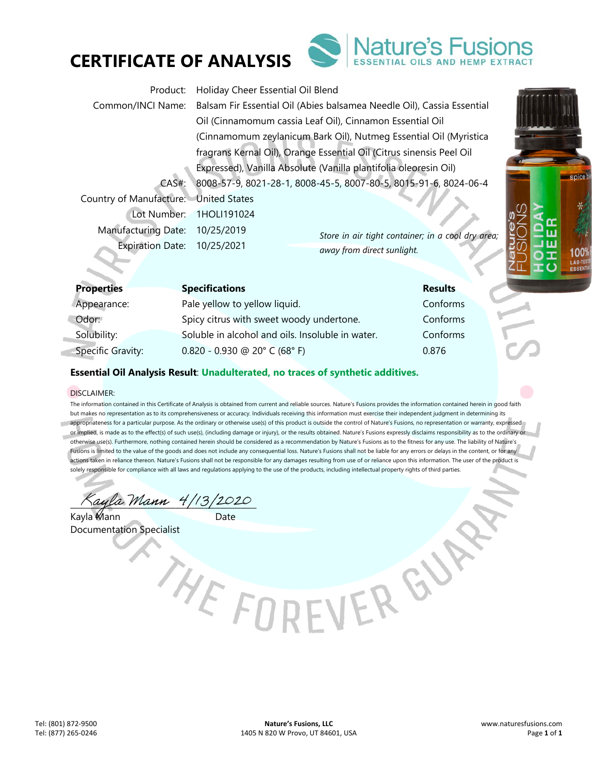



| Product:                              | Holiday Cheer Essential Oil Blend                                                        |  |  |
|---------------------------------------|------------------------------------------------------------------------------------------|--|--|
|                                       | Common/INCI Name: Balsam Fir Essential Oil (Abies balsamea Needle Oil), Cassia Essential |  |  |
|                                       | Oil (Cinnamomum cassia Leaf Oil), Cinnamon Essential Oil                                 |  |  |
|                                       | (Cinnamomum zeylanicum Bark Oil), Nutmeg Essential Oil (Myristica                        |  |  |
|                                       | fragrans Kernal Oil), Orange Essential Oil (Citrus sinensis Peel Oil                     |  |  |
|                                       | Expressed), Vanilla Absolute (Vanilla plantifolia oleoresin Oil)                         |  |  |
| CAS#                                  | 8008-57-9, 8021-28-1, 8008-45-5, 8007-80-5, 8015-91-6, 8024-06-4                         |  |  |
| Country of Manufacture: United States |                                                                                          |  |  |
|                                       | Lot Number: 1HOLI191024                                                                  |  |  |
| Manufacturing Date: 10/25/2019        | Store in air tight container; in a cool dry area;                                        |  |  |
| Expiration Date: 10/25/2021           | away from direct sunlight.                                                               |  |  |
|                                       |                                                                                          |  |  |

| <b>Properties</b>        | <b>Specifications</b>                            | <b>Results</b> |
|--------------------------|--------------------------------------------------|----------------|
| Appearance:              | Pale yellow to yellow liquid.                    | Conforms       |
| Odor:                    | Spicy citrus with sweet woody undertone.         | Conforms       |
| Solubility:              | Soluble in alcohol and oils. Insoluble in water. | Conforms       |
| <b>Specific Gravity:</b> | $0.820 - 0.930$ @ 20° C (68° F)                  | 0.876          |

## **Essential Oil Analysis Result**: **Unadulterated, no traces of synthetic additives.**

#### DISCLAIMER:

The information contained in this Certificate of Analysis is obtained from current and reliable sources. Nature's Fusions provides the information contained herein in good faith but makes no representation as to its comprehensiveness or accuracy. Individuals receiving this information must exercise their independent judgment in determining its appropriateness for a particular purpose. As the ordinary or otherwise use(s) of this product is outside the control of Nature's Fusions, no representation or warranty, expressed or implied, is made as to the effect(s) of such use(s), (including damage or injury), or the results obtained. Nature's Fusions expressly disclaims responsibility as to the ordinary or otherwise use(s). Furthermore, nothing contained herein should be considered as a recommendation by Nature's Fusions as to the fitness for any use. The liability of Nature's Fusions is limited to the value of the goods and does not include any consequential loss. Nature's Fusions shall not be liable for any errors or delays in the content, or for any actions taken in reliance thereon. Nature's Fusions shall not be responsible for any damages resulting from use of or reliance upon this information. The user of the product is solely responsible for compliance with all laws and regulations applying to the use of the products, including intellectual property rights of third parties.

 $\%$ ayla Mann 4/13/2020

Kayla Mann **Date** Documentation Specialist

THE FORFVER GY

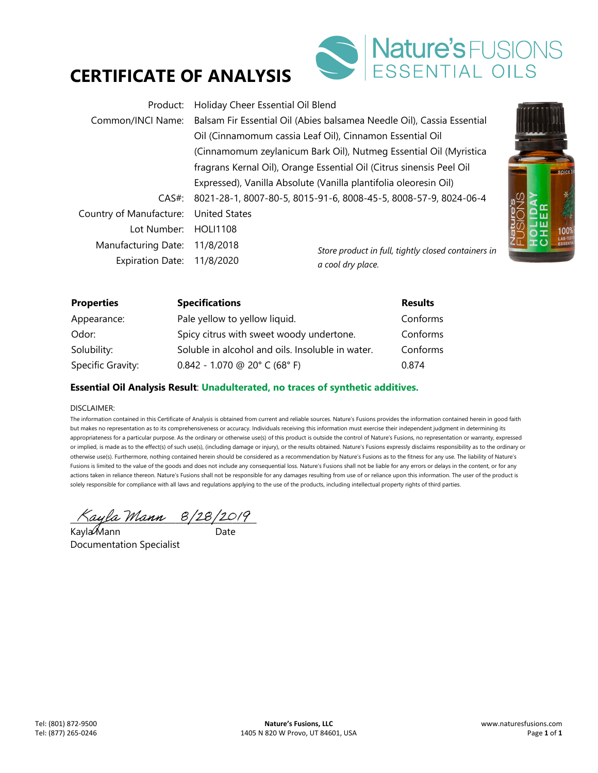# **CERTIFICATE OF ANALYSIS**



| Product:                   | Holiday Cheer Essential Oil Blend                                      |                                                                      |  |
|----------------------------|------------------------------------------------------------------------|----------------------------------------------------------------------|--|
| Common/INCI Name:          | Balsam Fir Essential Oil (Abies balsamea Needle Oil), Cassia Essential |                                                                      |  |
|                            | Oil (Cinnamomum cassia Leaf Oil), Cinnamon Essential Oil               |                                                                      |  |
|                            |                                                                        | (Cinnamomum zeylanicum Bark Oil), Nutmeg Essential Oil (Myristica    |  |
|                            |                                                                        | fragrans Kernal Oil), Orange Essential Oil (Citrus sinensis Peel Oil |  |
|                            |                                                                        | Expressed), Vanilla Absolute (Vanilla plantifolia oleoresin Oil)     |  |
| CAS#:                      | 8021-28-1, 8007-80-5, 8015-91-6, 8008-45-5, 8008-57-9, 8024-06-4       |                                                                      |  |
| Country of Manufacture:    | <b>United States</b>                                                   |                                                                      |  |
| Lot Number: HOLI1108       |                                                                        |                                                                      |  |
| Manufacturing Date:        | 11/8/2018                                                              | Store product in full, tightly closed containers in                  |  |
| Expiration Date: 11/8/2020 |                                                                        | a cool dry place.                                                    |  |

| <b>Properties</b> | <b>Specifications</b>                            | <b>Results</b> |
|-------------------|--------------------------------------------------|----------------|
| Appearance:       | Pale yellow to yellow liquid.                    | Conforms       |
| Odor:             | Spicy citrus with sweet woody undertone.         | Conforms       |
| Solubility:       | Soluble in alcohol and oils. Insoluble in water. | Conforms       |
| Specific Gravity: | $0.842 - 1.070$ @ 20° C (68° F)                  | 0.874          |

### **Essential Oil Analysis Result**: **Unadulterated, no traces of synthetic additives.**

#### DISCLAIMER:

The information contained in this Certificate of Analysis is obtained from current and reliable sources. Nature's Fusions provides the information contained herein in good faith but makes no representation as to its comprehensiveness or accuracy. Individuals receiving this information must exercise their independent judgment in determining its appropriateness for a particular purpose. As the ordinary or otherwise use(s) of this product is outside the control of Nature's Fusions, no representation or warranty, expressed or implied, is made as to the effect(s) of such use(s), (including damage or injury), or the results obtained. Nature's Fusions expressly disclaims responsibility as to the ordinary or otherwise use(s). Furthermore, nothing contained herein should be considered as a recommendation by Nature's Fusions as to the fitness for any use. The liability of Nature's Fusions is limited to the value of the goods and does not include any consequential loss. Nature's Fusions shall not be liable for any errors or delays in the content, or for any actions taken in reliance thereon. Nature's Fusions shall not be responsible for any damages resulting from use of or reliance upon this information. The user of the product is solely responsible for compliance with all laws and regulations applying to the use of the products, including intellectual property rights of third parties.

 $\land$ ayla Mann  $8/28/2019$ 

Kayla Mann ann an Date Documentation Specialist